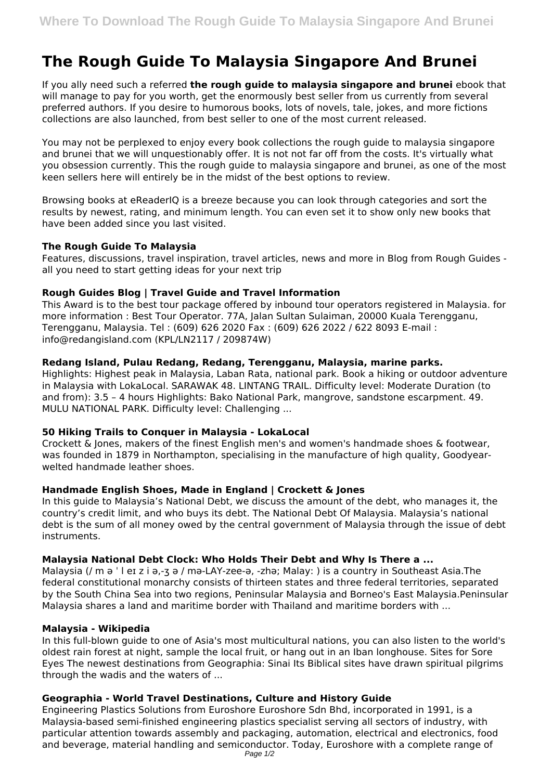# **The Rough Guide To Malaysia Singapore And Brunei**

If you ally need such a referred **the rough guide to malaysia singapore and brunei** ebook that will manage to pay for you worth, get the enormously best seller from us currently from several preferred authors. If you desire to humorous books, lots of novels, tale, jokes, and more fictions collections are also launched, from best seller to one of the most current released.

You may not be perplexed to enjoy every book collections the rough guide to malaysia singapore and brunei that we will unquestionably offer. It is not not far off from the costs. It's virtually what you obsession currently. This the rough guide to malaysia singapore and brunei, as one of the most keen sellers here will entirely be in the midst of the best options to review.

Browsing books at eReaderIQ is a breeze because you can look through categories and sort the results by newest, rating, and minimum length. You can even set it to show only new books that have been added since you last visited.

## **The Rough Guide To Malaysia**

Features, discussions, travel inspiration, travel articles, news and more in Blog from Rough Guides all you need to start getting ideas for your next trip

## **Rough Guides Blog | Travel Guide and Travel Information**

This Award is to the best tour package offered by inbound tour operators registered in Malaysia. for more information : Best Tour Operator. 77A, Jalan Sultan Sulaiman, 20000 Kuala Terengganu, Terengganu, Malaysia. Tel : (609) 626 2020 Fax : (609) 626 2022 / 622 8093 E-mail : info@redangisland.com (KPL/LN2117 / 209874W)

## **Redang Island, Pulau Redang, Redang, Terengganu, Malaysia, marine parks.**

Highlights: Highest peak in Malaysia, Laban Rata, national park. Book a hiking or outdoor adventure in Malaysia with LokaLocal. SARAWAK 48. LINTANG TRAIL. Difficulty level: Moderate Duration (to and from): 3.5 – 4 hours Highlights: Bako National Park, mangrove, sandstone escarpment. 49. MULU NATIONAL PARK. Difficulty level: Challenging ...

#### **50 Hiking Trails to Conquer in Malaysia - LokaLocal**

Crockett & Jones, makers of the finest English men's and women's handmade shoes & footwear, was founded in 1879 in Northampton, specialising in the manufacture of high quality, Goodyearwelted handmade leather shoes.

# **Handmade English Shoes, Made in England | Crockett & Jones**

In this guide to Malaysia's National Debt, we discuss the amount of the debt, who manages it, the country's credit limit, and who buys its debt. The National Debt Of Malaysia. Malaysia's national debt is the sum of all money owed by the central government of Malaysia through the issue of debt instruments.

# **Malaysia National Debt Clock: Who Holds Their Debt and Why Is There a ...**

Malaysia (/ m ə  $\cdot$  l eɪ z i ə,-ʒ ə / mə-LAY-zee-ə, -zhə; Malay: ) is a country in Southeast Asia.The federal constitutional monarchy consists of thirteen states and three federal territories, separated by the South China Sea into two regions, Peninsular Malaysia and Borneo's East Malaysia.Peninsular Malaysia shares a land and maritime border with Thailand and maritime borders with ...

#### **Malaysia - Wikipedia**

In this full-blown guide to one of Asia's most multicultural nations, you can also listen to the world's oldest rain forest at night, sample the local fruit, or hang out in an Iban longhouse. Sites for Sore Eyes The newest destinations from Geographia: Sinai Its Biblical sites have drawn spiritual pilgrims through the wadis and the waters of ...

# **Geographia - World Travel Destinations, Culture and History Guide**

Engineering Plastics Solutions from Euroshore Euroshore Sdn Bhd, incorporated in 1991, is a Malaysia-based semi-finished engineering plastics specialist serving all sectors of industry, with particular attention towards assembly and packaging, automation, electrical and electronics, food and beverage, material handling and semiconductor. Today, Euroshore with a complete range of Page 1/2